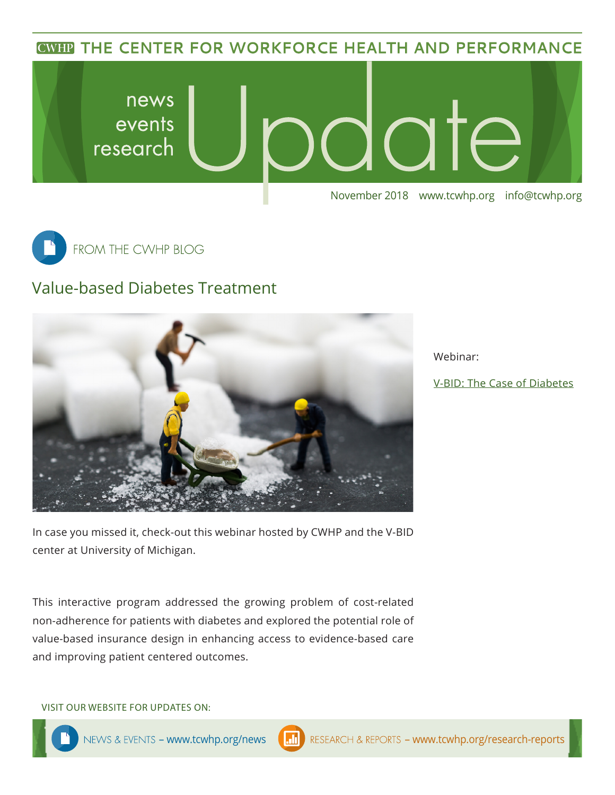**CWHP THE CENTER FOR WORKFORCE HEALTH AND PERFORMANCE** 





## Value-based Diabetes Treatment



In case you missed it, check-out this webinar hosted by CWHP and the V-BID center at University of Michigan.

This interactive program addressed the growing problem of cost-related non-adherence for patients with diabetes and explored the potential role of value-based insurance design in enhancing access to evidence-based care and improving patient centered outcomes.

VISIT OUR WEBSITE FOR UPDATES ON:





Webinar:

[V-BID: The Case of Diabetes](http://vbidcenter.org/via-diabetes/)